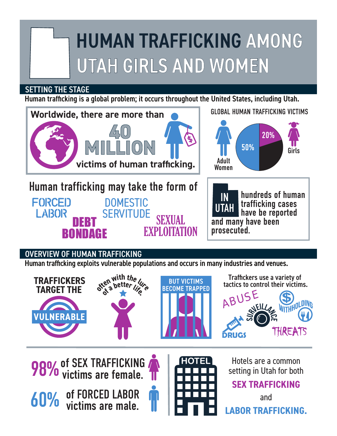## HUMAN TRAFFICKING AMONG UTAH GIRLS AND WOMEN

## SETTING THE STAGE

Human trafficking is a global problem; it occurs throughout the United States, including Utah.



## OVERVIEW OF HUMAN TRAFFICKING

Human trafficking exploits vulnerable populations and occurs in many industries and venues.



**98%** of SEX TRAFFICKING

**60%** of FORCED LABOR<br>victims are male.



**HOTEL** Hotels are a common setting in Utah for both

## **SEX TRAFFICKING**

and **LABOR TRAFFICKING.**